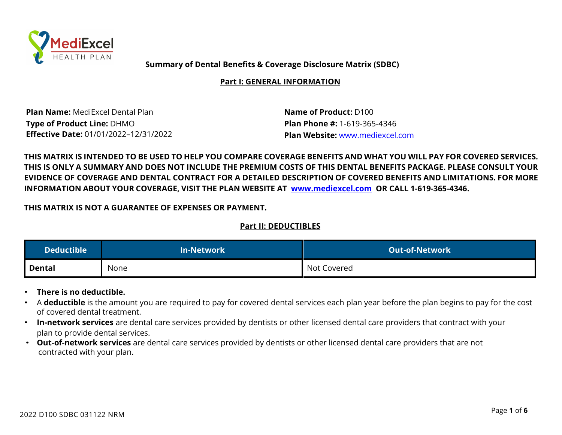

**Summary of Dental Benefits & Coverage Disclosure Matrix (SDBC)**

**Part I: GENERAL INFORMATION**

**Plan Name:** MediExcel Dental Plan **Name of Product:** D100 **Type of Product Line:** DHMO **Plan Phone #:** 1-619-365-4346 **Effective Date:** 01/01/2022–12/31/2022 **Plan Website:** www.mediexcel.com

THIS MATRIX IS INTENDED TO BE USED TO HELP YOU COMPARE COVERAGE BENEFITS AND WHAT YOU WILL PAY FOR COVERED SERVICES. THIS IS ONLY A SUMMARY AND DOES NOT INCLUDE THE PREMIUM COSTS OF THIS DENTAL BENEFITS PACKAGE. PLEASE CONSULT YOUR EVIDENCE OF COVERAGE AND DENTAL CONTRACT FOR A DETAILED DESCRIPTION OF COVERED BENEFITS AND LIMITATIONS. FOR MORE **INFORMATION ABOUT YOUR COVERAGE, VISIT THE PLAN WEBSITE AT www.mediexcel.com OR CALL 1-619-365-4346.**

**THIS MATRIX IS NOT A GUARANTEE OF EXPENSES OR PAYMENT.**

# **Part II: DEDUCTIBLES**

| Deductible $^{\rm !}$ | <b>In-Network</b> | LOut-of-Network <sup>\</sup> |
|-----------------------|-------------------|------------------------------|
| Dental                | None              | Not Covered                  |

- **There is no deductible.**
- A **deductible** is the amount you are required to pay for covered dental services each plan year before the plan begins to pay for the cost of covered dental treatment.
- **In-network services** are dental care services provided by dentists or other licensed dental care providers that contract with your plan to provide dental services.
- **Out-of-network services** are dental care services provided by dentists or other licensed dental care providers that are not contracted with your plan.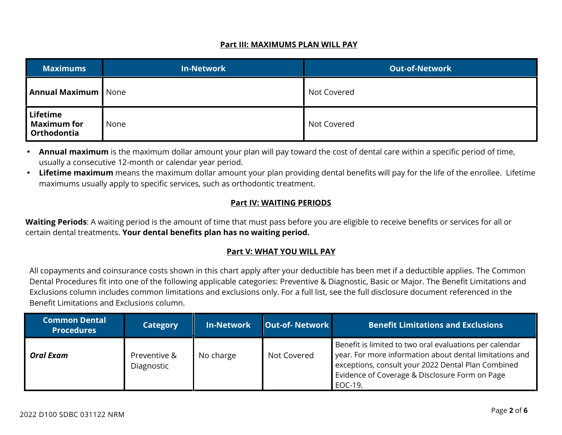#### **Part III: MAXIMUMS PLAN WILL PAY**

| <b>Maximums</b>                               | <b>In-Network</b> | <b>Out-of-Network</b> |
|-----------------------------------------------|-------------------|-----------------------|
| <b>Annual Maximum</b> None                    |                   | Not Covered           |
| Lifetime<br><b>Maximum for</b><br>Orthodontia | None              | Not Covered           |

 **Annual maximum** is the maximum dollar amount your plan will pay toward the cost of dental care within a specific period of time, usually a consecutive 12-month or calendar year period.

 **Lifetime maximum** means the maximum dollar amount your plan providing dental benefits will pay for the life of the enrollee. Lifetime maximums usually apply to specific services, such as orthodontic treatment.

### **Part IV: WAITING PERIODS**

**Waiting Periods**: A waiting period is the amount of time that must pass before you are eligible to receive benefits or services for all or certain dental treatments. **Your dental benefits plan has no waiting period.**

## **Part V: WHAT YOU WILL PAY**

All copayments and coinsurance costs shown in this chart apply after your deductible has been met if a deductible applies. The Common Dental Procedures fit into one of the following applicable categories: Preventive & Diagnostic, Basic or Major. The Benefit Limitations and Exclusions column includes common limitations and exclusions only. For a full list, see the full disclosure document referenced in the Benefit Limitations and Exclusions column.

| <b>Common Dental</b><br><b>Procedures</b> | <b>Category</b>            | <b>In-Network</b> | <b>Out-of-Network</b> | <b>Benefit Limitations and Exclusions</b>                                                                                                                                                                                             |
|-------------------------------------------|----------------------------|-------------------|-----------------------|---------------------------------------------------------------------------------------------------------------------------------------------------------------------------------------------------------------------------------------|
| <b>Oral Exam</b>                          | Preventive &<br>Diagnostic | No charge         | Not Covered           | Benefit is limited to two oral evaluations per calendar<br>year. For more information about dental limitations and<br>exceptions, consult your 2022 Dental Plan Combined<br>Evidence of Coverage & Disclosure Form on Page<br>EOC-19. |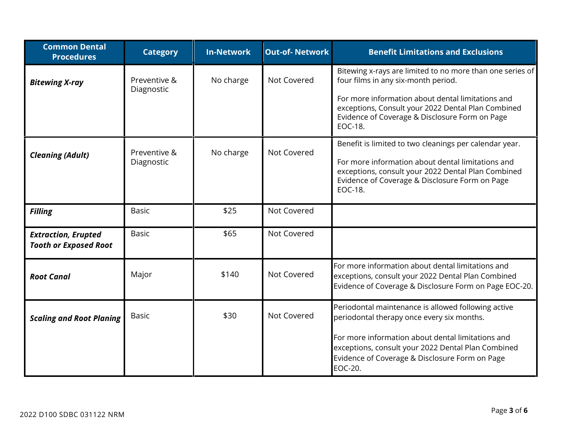| <b>Common Dental</b><br><b>Procedures</b>                  | <b>Category</b>            | <b>In-Network</b> | <b>Out-of-Network</b> | <b>Benefit Limitations and Exclusions</b>                                                                                                                                                                                      |
|------------------------------------------------------------|----------------------------|-------------------|-----------------------|--------------------------------------------------------------------------------------------------------------------------------------------------------------------------------------------------------------------------------|
| <b>Bitewing X-ray</b>                                      | Preventive &<br>Diagnostic | No charge         | Not Covered           | Bitewing x-rays are limited to no more than one series of<br>four films in any six-month period.                                                                                                                               |
|                                                            |                            |                   |                       | For more information about dental limitations and<br>exceptions, Consult your 2022 Dental Plan Combined<br>Evidence of Coverage & Disclosure Form on Page<br>EOC-18.                                                           |
| <b>Cleaning (Adult)</b>                                    | Preventive &<br>Diagnostic | No charge         | Not Covered           | Benefit is limited to two cleanings per calendar year.<br>For more information about dental limitations and<br>exceptions, consult your 2022 Dental Plan Combined<br>Evidence of Coverage & Disclosure Form on Page<br>EOC-18. |
| <b>Filling</b>                                             | <b>Basic</b>               | \$25              | Not Covered           |                                                                                                                                                                                                                                |
| <b>Extraction, Erupted</b><br><b>Tooth or Exposed Root</b> | <b>Basic</b>               | \$65              | Not Covered           |                                                                                                                                                                                                                                |
| <b>Root Canal</b>                                          | Major                      | \$140             | Not Covered           | For more information about dental limitations and<br>exceptions, consult your 2022 Dental Plan Combined<br>Evidence of Coverage & Disclosure Form on Page EOC-20.                                                              |
| <b>Scaling and Root Planing</b>                            | <b>Basic</b>               | \$30              | Not Covered           | Periodontal maintenance is allowed following active<br>periodontal therapy once every six months.                                                                                                                              |
|                                                            |                            |                   |                       | For more information about dental limitations and<br>exceptions, consult your 2022 Dental Plan Combined<br>Evidence of Coverage & Disclosure Form on Page<br><b>EOC-20.</b>                                                    |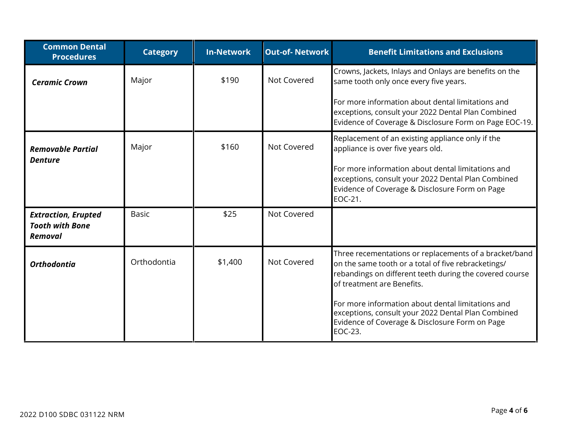| <b>Common Dental</b><br><b>Procedures</b>                              | <b>Category</b> | <b>In-Network</b> | <b>Out-of-Network</b> | <b>Benefit Limitations and Exclusions</b>                                                                                                                                                                                                                                                                                                                                      |
|------------------------------------------------------------------------|-----------------|-------------------|-----------------------|--------------------------------------------------------------------------------------------------------------------------------------------------------------------------------------------------------------------------------------------------------------------------------------------------------------------------------------------------------------------------------|
| <b>Ceramic Crown</b>                                                   | Major           | \$190             | Not Covered           | Crowns, Jackets, Inlays and Onlays are benefits on the<br>same tooth only once every five years.                                                                                                                                                                                                                                                                               |
|                                                                        |                 |                   |                       | For more information about dental limitations and<br>exceptions, consult your 2022 Dental Plan Combined<br>Evidence of Coverage & Disclosure Form on Page EOC-19.                                                                                                                                                                                                              |
| <b>Removable Partial</b><br><b>Denture</b>                             | Major           | \$160             | Not Covered           | Replacement of an existing appliance only if the<br>appliance is over five years old.<br>For more information about dental limitations and<br>exceptions, consult your 2022 Dental Plan Combined<br>Evidence of Coverage & Disclosure Form on Page<br>EOC-21.                                                                                                                  |
| <b>Extraction, Erupted</b><br><b>Tooth with Bone</b><br><b>Removal</b> | <b>Basic</b>    | \$25              | Not Covered           |                                                                                                                                                                                                                                                                                                                                                                                |
| <b>Orthodontia</b>                                                     | Orthodontia     | \$1,400           | Not Covered           | Three recementations or replacements of a bracket/band<br>on the same tooth or a total of five rebracketings/<br>rebandings on different teeth during the covered course<br>of treatment are Benefits.<br>For more information about dental limitations and<br>exceptions, consult your 2022 Dental Plan Combined<br>Evidence of Coverage & Disclosure Form on Page<br>EOC-23. |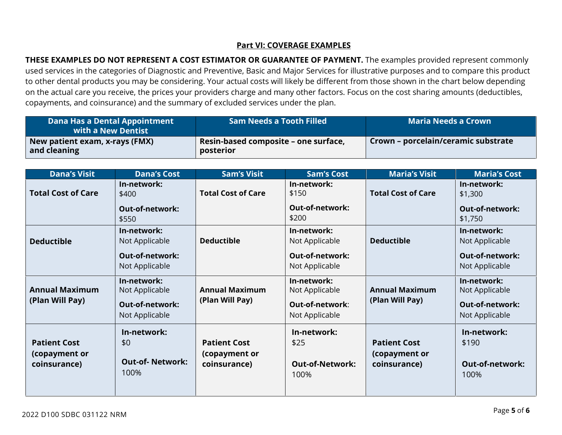#### **Part VI: COVERAGE EXAMPLES**

**THESE EXAMPLES DO NOT REPRESENT A COST ESTIMATOR OR GUARANTEE OF PAYMENT.** The examples provided represent commonly used services in the categories of Diagnostic and Preventive, Basic and Major Services for illustrative purposes and to compare this product to other dental products you may be considering. Your actual costs will likely be different from those shown in the chart below depending on the actual care you receive, the prices your providers charge and many other factors. Focus on the cost sharing amounts (deductibles, copayments, and coinsurance) and the summary of excluded services under the plan.

| Dana Has a Dental Appointment<br>with a New Dentist | <b>Sam Needs a Tooth Filled</b>                   | <b>Maria Needs a Crown</b>          |
|-----------------------------------------------------|---------------------------------------------------|-------------------------------------|
| New patient exam, x-rays (FMX)<br>and cleaning      | Resin-based composite – one surface,<br>posterior | Crown – porcelain/ceramic substrate |

| <b>Dana's Visit</b>                                  | <b>Dana's Cost</b>                                   | <b>Sam's Visit</b>                                   | <b>Sam's Cost</b>                                     | <b>Maria's Visit</b>                                 | <b>Maria's Cost</b>                                    |
|------------------------------------------------------|------------------------------------------------------|------------------------------------------------------|-------------------------------------------------------|------------------------------------------------------|--------------------------------------------------------|
| <b>Total Cost of Care</b>                            | In-network:<br>\$400                                 | <b>Total Cost of Care</b>                            | In-network:<br>\$150                                  | <b>Total Cost of Care</b>                            | In-network:<br>\$1,300                                 |
|                                                      | <b>Out-of-network:</b><br>\$550                      |                                                      | <b>Out-of-network:</b><br>\$200                       |                                                      | <b>Out-of-network:</b><br>\$1,750                      |
| <b>Deductible</b>                                    | In-network:<br>Not Applicable                        | <b>Deductible</b>                                    | In-network:<br>Not Applicable                         | <b>Deductible</b>                                    | In-network:<br>Not Applicable                          |
|                                                      | <b>Out-of-network:</b><br>Not Applicable             |                                                      | <b>Out-of-network:</b><br>Not Applicable              |                                                      | <b>Out-of-network:</b><br>Not Applicable               |
| <b>Annual Maximum</b>                                | In-network:<br>Not Applicable                        | <b>Annual Maximum</b>                                | In-network:<br>Not Applicable                         | <b>Annual Maximum</b>                                | In-network:<br>Not Applicable                          |
| (Plan Will Pay)                                      | <b>Out-of-network:</b><br>Not Applicable             | (Plan Will Pay)                                      | Out-of-network:<br>Not Applicable                     | (Plan Will Pay)                                      | <b>Out-of-network:</b><br>Not Applicable               |
| <b>Patient Cost</b><br>(copayment or<br>coinsurance) | In-network:<br>\$0<br><b>Out-of-Network:</b><br>100% | <b>Patient Cost</b><br>(copayment or<br>coinsurance) | In-network:<br>\$25<br><b>Out-of-Network:</b><br>100% | <b>Patient Cost</b><br>(copayment or<br>coinsurance) | In-network:<br>\$190<br><b>Out-of-network:</b><br>100% |
|                                                      |                                                      |                                                      |                                                       |                                                      |                                                        |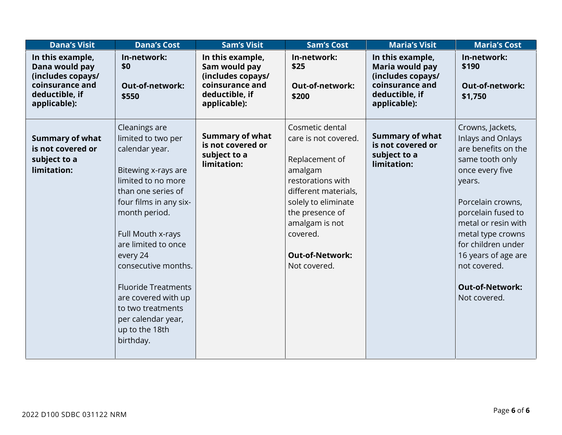| <b>Dana's Visit</b>                                                                                          | <b>Dana's Cost</b>                                                                                                                                                                                                                                                                                                                                                                | <b>Sam's Visit</b>                                                                                          | <b>Sam's Cost</b>                                                                                                                                                                                                                   | <b>Maria's Visit</b>                                                                                          | <b>Maria's Cost</b>                                                                                                                                                                                                                                                                                        |
|--------------------------------------------------------------------------------------------------------------|-----------------------------------------------------------------------------------------------------------------------------------------------------------------------------------------------------------------------------------------------------------------------------------------------------------------------------------------------------------------------------------|-------------------------------------------------------------------------------------------------------------|-------------------------------------------------------------------------------------------------------------------------------------------------------------------------------------------------------------------------------------|---------------------------------------------------------------------------------------------------------------|------------------------------------------------------------------------------------------------------------------------------------------------------------------------------------------------------------------------------------------------------------------------------------------------------------|
| In this example,<br>Dana would pay<br>(includes copays/<br>coinsurance and<br>deductible, if<br>applicable): | In-network:<br>\$0<br>Out-of-network:<br>\$550                                                                                                                                                                                                                                                                                                                                    | In this example,<br>Sam would pay<br>(includes copays/<br>coinsurance and<br>deductible, if<br>applicable): | In-network:<br>\$25<br><b>Out-of-network:</b><br>\$200                                                                                                                                                                              | In this example,<br>Maria would pay<br>(includes copays/<br>coinsurance and<br>deductible, if<br>applicable): | In-network:<br>\$190<br><b>Out-of-network:</b><br>\$1,750                                                                                                                                                                                                                                                  |
| <b>Summary of what</b><br>is not covered or<br>subject to a<br>limitation:                                   | Cleanings are<br>limited to two per<br>calendar year.<br>Bitewing x-rays are<br>limited to no more<br>than one series of<br>four films in any six-<br>month period.<br>Full Mouth x-rays<br>are limited to once<br>every 24<br>consecutive months.<br><b>Fluoride Treatments</b><br>are covered with up<br>to two treatments<br>per calendar year,<br>up to the 18th<br>birthday. | <b>Summary of what</b><br>is not covered or<br>subject to a<br>limitation:                                  | Cosmetic dental<br>care is not covered.<br>Replacement of<br>amalgam<br>restorations with<br>different materials,<br>solely to eliminate<br>the presence of<br>amalgam is not<br>covered.<br><b>Out-of-Network:</b><br>Not covered. | <b>Summary of what</b><br>is not covered or<br>subject to a<br>limitation:                                    | Crowns, Jackets,<br>Inlays and Onlays<br>are benefits on the<br>same tooth only<br>once every five<br>years.<br>Porcelain crowns,<br>porcelain fused to<br>metal or resin with<br>metal type crowns<br>for children under<br>16 years of age are<br>not covered.<br><b>Out-of-Network:</b><br>Not covered. |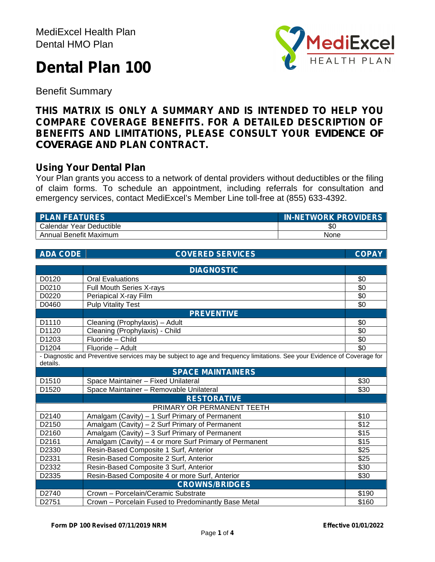# **Dental Plan 100**



Benefit Summary

# **THIS MATRIX IS ONLY A SUMMARY AND IS INTENDED TO HELP YOU COMPARE COVERAGE BENEFITS. FOR A DETAILED DESCRIPTION OF BENEFITS AND LIMITATIONS, PLEASE CONSULT YOUR** *EVIDENCE OF COVERAGE* **AND PLAN CONTRACT.**

# **Using Your Dental Plan**

Your Plan grants you access to a network of dental providers without deductibles or the filing of claim forms. To schedule an appointment, including referrals for consultation and emergency services, contact MediExcel's Member Line toll-free at (855) 633-4392.

| <b>PLAN FEATURES</b>     | <b>IN-NETWORK PROVIDERS</b> |
|--------------------------|-----------------------------|
| Calendar Year Deductible | \$0                         |
| Annual Benefit Maximum   | None                        |

| <b>ADA CODE</b> | <b>COVERED SERVICES</b>                                                                                                 | <b>COPAY</b> |
|-----------------|-------------------------------------------------------------------------------------------------------------------------|--------------|
|                 |                                                                                                                         |              |
|                 | <b>DIAGNOSTIC</b>                                                                                                       |              |
| D0120           | <b>Oral Evaluations</b>                                                                                                 | \$0          |
| D0210           | Full Mouth Series X-rays                                                                                                | \$0          |
| D0220           | Periapical X-ray Film                                                                                                   | \$0          |
| D0460           | <b>Pulp Vitality Test</b>                                                                                               | \$0          |
|                 | <b>PREVENTIVE</b>                                                                                                       |              |
| D1110           | Cleaning (Prophylaxis) - Adult                                                                                          | \$0          |
| D1120           | Cleaning (Prophylaxis) - Child                                                                                          | \$0          |
| D1203           | Fluoride - Child                                                                                                        | \$0          |
| D1204           | Fluoride - Adult                                                                                                        | \$0          |
| details.        | - Diagnostic and Preventive services may be subject to age and frequency limitations. See your Evidence of Coverage for |              |
|                 | <b>SPACE MAINTAINERS</b>                                                                                                |              |
| D1510           | Space Maintainer - Fixed Unilateral                                                                                     | \$30         |
| D1520           | Space Maintainer - Removable Unilateral                                                                                 | \$30         |
|                 | <b>RESTORATIVE</b>                                                                                                      |              |
|                 | PRIMARY OR PERMANENT TEETH                                                                                              |              |
| D2140           | Amalgam (Cavity) - 1 Surf Primary of Permanent                                                                          | \$10         |
| D2150           | Amalgam (Cavity) - 2 Surf Primary of Permanent                                                                          | \$12         |
| D2160           | Amalgam (Cavity) - 3 Surf Primary of Permanent                                                                          | \$15         |
| D2161           | Amalgam (Cavity) - 4 or more Surf Primary of Permanent                                                                  | \$15         |
| D2330           | Resin-Based Composite 1 Surf, Anterior                                                                                  | \$25         |
| D2331           | Resin-Based Composite 2 Surf, Anterior                                                                                  | \$25         |
| D2332           | Resin-Based Composite 3 Surf, Anterior                                                                                  | \$30         |
| D2335           | Resin-Based Composite 4 or more Surf, Anterior                                                                          | \$30         |
|                 | <b>CROWNS/BRIDGES</b>                                                                                                   |              |
| D2740           | Crown - Porcelain/Ceramic Substrate                                                                                     | \$190        |
| D2751           | Crown - Porcelain Fused to Predominantly Base Metal                                                                     | \$160        |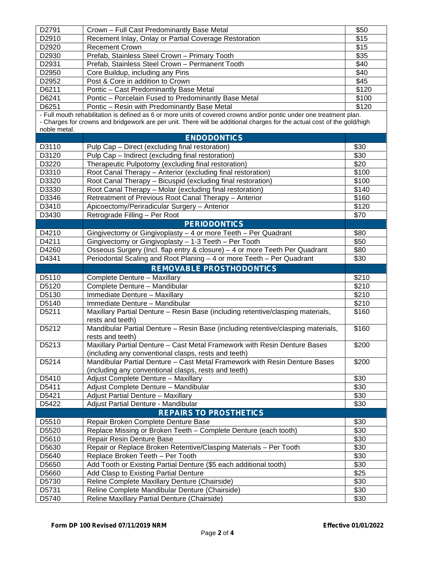| D2791          | Crown - Full Cast Predominantly Base Metal                                                                              | \$50         |
|----------------|-------------------------------------------------------------------------------------------------------------------------|--------------|
| D2910          | Recement Inlay, Onlay or Partial Coverage Restoration                                                                   | \$15         |
| D2920          | <b>Recement Crown</b>                                                                                                   | \$15         |
| D2930          | Prefab, Stainless Steel Crown - Primary Tooth                                                                           | \$35         |
| D2931          | Prefab, Stainless Steel Crown - Permanent Tooth                                                                         | \$40         |
| D2950          | Core Buildup, including any Pins                                                                                        | \$40         |
| D2952          | Post & Core in addition to Crown                                                                                        | \$45         |
| D6211          | Pontic - Cast Predominantly Base Metal                                                                                  | \$120        |
| D6241          | Pontic - Porcelain Fused to Predominantly Base Metal                                                                    | \$100        |
| D6251          | Pontic - Resin with Predominantly Base Metal                                                                            | \$120        |
|                | - Full mouth rehabilitation is defined as 6 or more units of covered crowns and/or pontic under one treatment plan.     |              |
|                | - Charges for crowns and bridgework are per unit. There will be additional charges for the actual cost of the gold/high |              |
| noble metal.   |                                                                                                                         |              |
|                | <b>ENDODONTICS</b>                                                                                                      |              |
| D3110          | Pulp Cap - Direct (excluding final restoration)                                                                         | \$30         |
| D3120          | Pulp Cap - Indirect (excluding final restoration)                                                                       | \$30         |
| D3220          | Therapeutic Pulpotomy (excluding final restoration)                                                                     | \$20         |
| D3310          | Root Canal Therapy - Anterior (excluding final restoration)                                                             | \$100        |
| D3320          | Root Canal Therapy - Bicuspid (excluding final restoration)                                                             | \$100        |
| D3330          | Root Canal Therapy - Molar (excluding final restoration)                                                                | \$140        |
| D3346          | Retreatment of Previous Root Canal Therapy - Anterior                                                                   | \$160        |
| D3410          | Apicoectomy/Periradicular Surgery - Anterior                                                                            | \$120        |
| D3430          | Retrograde Filling - Per Root                                                                                           | \$70         |
|                | <b>PERIODONTICS</b>                                                                                                     |              |
| D4210          | Gingivectomy or Gingivoplasty - 4 or more Teeth - Per Quadrant                                                          | \$80         |
| D4211          | Gingivectomy or Gingivoplasty - 1-3 Teeth - Per Tooth                                                                   | \$50         |
| D4260          | Osseous Surgery (Incl. flap entry & closure) - 4 or more Teeth Per Quadrant                                             | \$80         |
| D4341          | Periodontal Scaling and Root Planing - 4 or more Teeth - Per Quadrant                                                   | \$30         |
|                | <b>REMOVABLE PROSTHODONTICS</b>                                                                                         |              |
|                |                                                                                                                         |              |
|                |                                                                                                                         |              |
| D5110          | Complete Denture - Maxillary                                                                                            | \$210        |
| D5120          | Complete Denture - Mandibular                                                                                           | \$210        |
| D5130          | Immediate Denture - Maxillary                                                                                           | \$210        |
| D5140          | Immediate Denture - Mandibular                                                                                          | \$210        |
| D5211          | Maxillary Partial Denture - Resin Base (including retentive/clasping materials,<br>rests and teeth)                     | \$160        |
| D5212          | Mandibular Partial Denture - Resin Base (including retentive/clasping materials,                                        | \$160        |
|                | rests and teeth)                                                                                                        |              |
| D5213          | Maxillary Partial Denture - Cast Metal Framework with Resin Denture Bases                                               | \$200        |
|                | (including any conventional clasps, rests and teeth)                                                                    |              |
| D5214          | Mandibular Partial Denture - Cast Metal Framework with Resin Denture Bases                                              | \$200        |
|                | (including any conventional clasps, rests and teeth)                                                                    |              |
| D5410          | Adjust Complete Denture - Maxillary                                                                                     | \$30         |
| D5411          | Adjust Complete Denture - Mandibular                                                                                    | \$30         |
| D5421          | Adjust Partial Denture - Maxillary                                                                                      | \$30         |
| D5422          | Adjust Partial Denture - Mandibular                                                                                     | \$30         |
|                | <b>REPAIRS TO PROSTHETICS</b>                                                                                           |              |
| D5510          | Repair Broken Complete Denture Base                                                                                     | \$30         |
| D5520          | Replace Missing or Broken Teeth - Complete Denture (each tooth)                                                         | \$30         |
| D5610          | Repair Resin Denture Base                                                                                               | \$30         |
| D5630          | Repair or Replace Broken Retentive/Clasping Materials - Per Tooth                                                       | \$30         |
| D5640          | Replace Broken Teeth - Per Tooth                                                                                        | \$30         |
| D5650          | Add Tooth or Existing Partial Denture (\$5 each additional tooth)                                                       | \$30         |
| D5660          | Add Clasp to Existing Partial Denture                                                                                   | \$25         |
| D5730          | Reline Complete Maxillary Denture (Chairside)                                                                           | \$30         |
| D5731<br>D5740 | Reline Complete Mandibular Denture (Chairside)<br>Reline Maxillary Partial Denture (Chairside)                          | \$30<br>\$30 |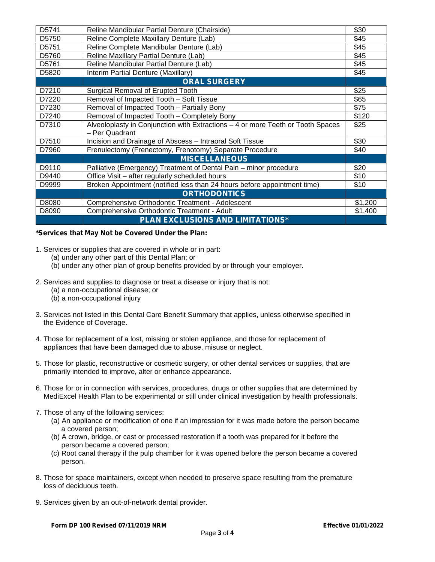| D5741 | Reline Mandibular Partial Denture (Chairside)                                                     | \$30    |
|-------|---------------------------------------------------------------------------------------------------|---------|
| D5750 | Reline Complete Maxillary Denture (Lab)                                                           | \$45    |
| D5751 | Reline Complete Mandibular Denture (Lab)                                                          | \$45    |
| D5760 | Reline Maxillary Partial Denture (Lab)                                                            | \$45    |
| D5761 | Reline Mandibular Partial Denture (Lab)                                                           | \$45    |
| D5820 | Interim Partial Denture (Maxillary)                                                               | \$45    |
|       | <b>ORAL SURGERY</b>                                                                               |         |
| D7210 | Surgical Removal of Erupted Tooth                                                                 | \$25    |
| D7220 | Removal of Impacted Tooth - Soft Tissue                                                           | \$65    |
| D7230 | Removal of Impacted Tooth - Partially Bony                                                        | \$75    |
| D7240 | Removal of Impacted Tooth - Completely Bony                                                       | \$120   |
| D7310 | Alveoloplasty in Conjunction with Extractions - 4 or more Teeth or Tooth Spaces<br>- Per Quadrant | \$25    |
| D7510 | Incision and Drainage of Abscess - Intraoral Soft Tissue                                          | \$30    |
| D7960 | Frenulectomy (Frenectomy, Frenotomy) Separate Procedure                                           | \$40    |
|       | <b>MISCELLANEOUS</b>                                                                              |         |
| D9110 | Palliative (Emergency) Treatment of Dental Pain - minor procedure                                 | \$20    |
| D9440 | Office Visit – after regularly scheduled hours                                                    | \$10    |
| D9999 | Broken Appointment (notified less than 24 hours before appointment time)                          | \$10    |
|       | <b>ORTHODONTICS</b>                                                                               |         |
| D8080 | Comprehensive Orthodontic Treatment - Adolescent                                                  | \$1,200 |
| D8090 | Comprehensive Orthodontic Treatment - Adult                                                       | \$1,400 |
|       | <b>PLAN EXCLUSIONS AND LIMITATIONS*</b>                                                           |         |

#### **\*Services that May Not be Covered Under the Plan:**

- 1. Services or supplies that are covered in whole or in part:
	- (a) under any other part of this Dental Plan; or
	- (b) under any other plan of group benefits provided by or through your employer.
- 2. Services and supplies to diagnose or treat a disease or injury that is not:
	- (a) a non-occupational disease; or
	- (b) a non-occupational injury
- 3. Services not listed in this Dental Care Benefit Summary that applies, unless otherwise specified in the Evidence of Coverage.
- 4. Those for replacement of a lost, missing or stolen appliance, and those for replacement of appliances that have been damaged due to abuse, misuse or neglect.
- 5. Those for plastic, reconstructive or cosmetic surgery, or other dental services or supplies, that are primarily intended to improve, alter or enhance appearance.
- 6. Those for or in connection with services, procedures, drugs or other supplies that are determined by MediExcel Health Plan to be experimental or still under clinical investigation by health professionals.
- 7. Those of any of the following services:
	- (a) An appliance or modification of one if an impression for it was made before the person became a covered person;
	- (b) A crown, bridge, or cast or processed restoration if a tooth was prepared for it before the person became a covered person;
	- (c) Root canal therapy if the pulp chamber for it was opened before the person became a covered person.
- 8. Those for space maintainers, except when needed to preserve space resulting from the premature loss of deciduous teeth.
- 9. Services given by an out-of-network dental provider.